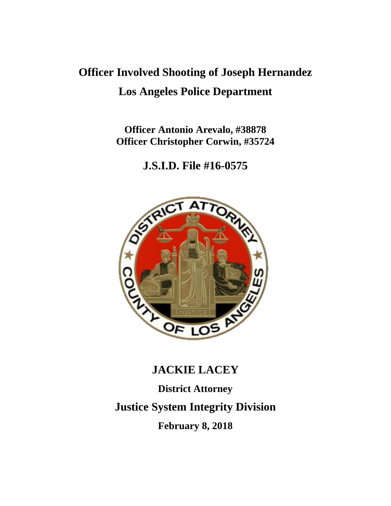# **Officer Involved Shooting of Joseph Hernandez Los Angeles Police Department**

**Officer Antonio Arevalo, #38878 Officer Christopher Corwin, #35724**

**J.S.I.D. File #16-0575**



# **JACKIE LACEY**

**District Attorney Justice System Integrity Division February 8, 2018**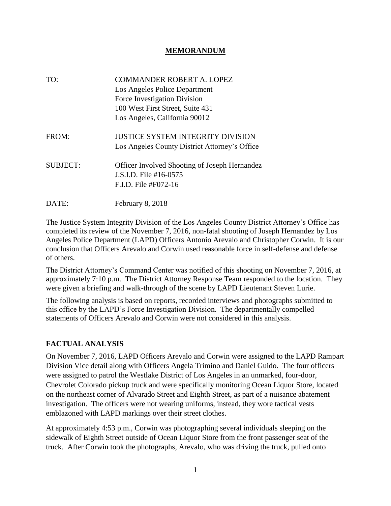#### **MEMORANDUM**

| TO:             | <b>COMMANDER ROBERT A. LOPEZ</b><br>Los Angeles Police Department<br>Force Investigation Division<br>100 West First Street, Suite 431<br>Los Angeles, California 90012 |
|-----------------|------------------------------------------------------------------------------------------------------------------------------------------------------------------------|
| FROM:           | <b>JUSTICE SYSTEM INTEGRITY DIVISION</b><br>Los Angeles County District Attorney's Office                                                                              |
| <b>SUBJECT:</b> | Officer Involved Shooting of Joseph Hernandez<br>J.S.I.D. File #16-0575<br>$F_{1}D_{2}F_{1}e_{4}F_{0}72-16$                                                            |
| DATE:           | February 8, 2018                                                                                                                                                       |

The Justice System Integrity Division of the Los Angeles County District Attorney's Office has completed its review of the November 7, 2016, non-fatal shooting of Joseph Hernandez by Los Angeles Police Department (LAPD) Officers Antonio Arevalo and Christopher Corwin. It is our conclusion that Officers Arevalo and Corwin used reasonable force in self-defense and defense of others.

The District Attorney's Command Center was notified of this shooting on November 7, 2016, at approximately 7:10 p.m. The District Attorney Response Team responded to the location. They were given a briefing and walk-through of the scene by LAPD Lieutenant Steven Lurie.

The following analysis is based on reports, recorded interviews and photographs submitted to this office by the LAPD's Force Investigation Division. The departmentally compelled statements of Officers Arevalo and Corwin were not considered in this analysis.

#### **FACTUAL ANALYSIS**

On November 7, 2016, LAPD Officers Arevalo and Corwin were assigned to the LAPD Rampart Division Vice detail along with Officers Angela Trimino and Daniel Guido. The four officers were assigned to patrol the Westlake District of Los Angeles in an unmarked, four-door, Chevrolet Colorado pickup truck and were specifically monitoring Ocean Liquor Store, located on the northeast corner of Alvarado Street and Eighth Street, as part of a nuisance abatement investigation. The officers were not wearing uniforms, instead, they wore tactical vests emblazoned with LAPD markings over their street clothes.

At approximately 4:53 p.m., Corwin was photographing several individuals sleeping on the sidewalk of Eighth Street outside of Ocean Liquor Store from the front passenger seat of the truck. After Corwin took the photographs, Arevalo, who was driving the truck, pulled onto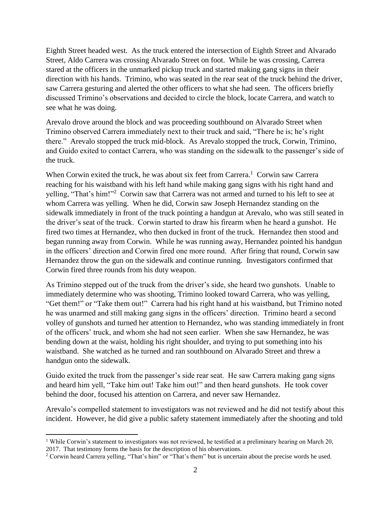Eighth Street headed west. As the truck entered the intersection of Eighth Street and Alvarado Street, Aldo Carrera was crossing Alvarado Street on foot. While he was crossing, Carrera stared at the officers in the unmarked pickup truck and started making gang signs in their direction with his hands. Trimino, who was seated in the rear seat of the truck behind the driver, saw Carrera gesturing and alerted the other officers to what she had seen. The officers briefly discussed Trimino's observations and decided to circle the block, locate Carrera, and watch to see what he was doing.

Arevalo drove around the block and was proceeding southbound on Alvarado Street when Trimino observed Carrera immediately next to their truck and said, "There he is; he's right there." Arevalo stopped the truck mid-block. As Arevalo stopped the truck, Corwin, Trimino, and Guido exited to contact Carrera, who was standing on the sidewalk to the passenger's side of the truck.

When Corwin exited the truck, he was about six feet from Carrera.<sup>1</sup> Corwin saw Carrera reaching for his waistband with his left hand while making gang signs with his right hand and yelling, "That's him!"<sup>2</sup> Corwin saw that Carrera was not armed and turned to his left to see at whom Carrera was yelling. When he did, Corwin saw Joseph Hernandez standing on the sidewalk immediately in front of the truck pointing a handgun at Arevalo, who was still seated in the driver's seat of the truck. Corwin started to draw his firearm when he heard a gunshot. He fired two times at Hernandez, who then ducked in front of the truck. Hernandez then stood and began running away from Corwin. While he was running away, Hernandez pointed his handgun in the officers' direction and Corwin fired one more round. After firing that round, Corwin saw Hernandez throw the gun on the sidewalk and continue running. Investigators confirmed that Corwin fired three rounds from his duty weapon.

As Trimino stepped out of the truck from the driver's side, she heard two gunshots. Unable to immediately determine who was shooting, Trimino looked toward Carrera, who was yelling, "Get them!" or "Take them out!" Carrera had his right hand at his waistband, but Trimino noted he was unarmed and still making gang signs in the officers' direction. Trimino heard a second volley of gunshots and turned her attention to Hernandez, who was standing immediately in front of the officers' truck, and whom she had not seen earlier. When she saw Hernandez, he was bending down at the waist, holding his right shoulder, and trying to put something into his waistband. She watched as he turned and ran southbound on Alvarado Street and threw a handgun onto the sidewalk.

Guido exited the truck from the passenger's side rear seat. He saw Carrera making gang signs and heard him yell, "Take him out! Take him out!" and then heard gunshots. He took cover behind the door, focused his attention on Carrera, and never saw Hernandez.

Arevalo's compelled statement to investigators was not reviewed and he did not testify about this incident. However, he did give a public safety statement immediately after the shooting and told

 $\overline{\phantom{a}}$ <sup>1</sup> While Corwin's statement to investigators was not reviewed, he testified at a preliminary hearing on March 20, 2017. That testimony forms the basis for the description of his observations.

<sup>2</sup> Corwin heard Carrera yelling, "That's him" or "That's them" but is uncertain about the precise words he used.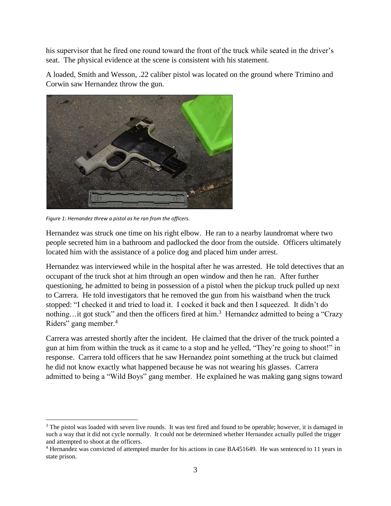his supervisor that he fired one round toward the front of the truck while seated in the driver's seat. The physical evidence at the scene is consistent with his statement.

A loaded, Smith and Wesson, .22 caliber pistol was located on the ground where Trimino and Corwin saw Hernandez throw the gun.



*Figure 1: Hernandez threw a pistol as he ran from the officers.*

 $\overline{a}$ 

Hernandez was struck one time on his right elbow. He ran to a nearby laundromat where two people secreted him in a bathroom and padlocked the door from the outside. Officers ultimately located him with the assistance of a police dog and placed him under arrest.

Hernandez was interviewed while in the hospital after he was arrested. He told detectives that an occupant of the truck shot at him through an open window and then he ran. After further questioning, he admitted to being in possession of a pistol when the pickup truck pulled up next to Carrera. He told investigators that he removed the gun from his waistband when the truck stopped: "I checked it and tried to load it. I cocked it back and then I squeezed. It didn't do nothing...it got stuck" and then the officers fired at him.<sup>3</sup> Hernandez admitted to being a "Crazy Riders" gang member.<sup>4</sup>

Carrera was arrested shortly after the incident. He claimed that the driver of the truck pointed a gun at him from within the truck as it came to a stop and he yelled, "They're going to shoot!" in response. Carrera told officers that he saw Hernandez point something at the truck but claimed he did not know exactly what happened because he was not wearing his glasses. Carrera admitted to being a "Wild Boys" gang member. He explained he was making gang signs toward

<sup>&</sup>lt;sup>3</sup> The pistol was loaded with seven live rounds. It was test fired and found to be operable; however, it is damaged in such a way that it did not cycle normally. It could not be determined whether Hernandez actually pulled the trigger and attempted to shoot at the officers.

<sup>&</sup>lt;sup>4</sup> Hernandez was convicted of attempted murder for his actions in case BA451649. He was sentenced to 11 years in state prison.